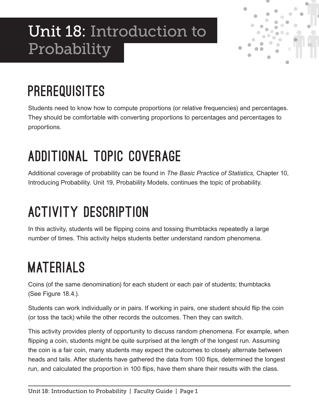# Unit 18: Introduction to Probability



## **PREREQUISITES**

Students need to know how to compute proportions (or relative frequencies) and percentages. They should be comfortable with converting proportions to percentages and percentages to proportions.

## Additional Topic Coverage

Additional coverage of probability can be found in *The Basic Practice of Statistics*, Chapter 10, Introducing Probability. Unit 19, Probability Models, continues the topic of probability.

## Activity Description

In this activity, students will be flipping coins and tossing thumbtacks repeatedly a large number of times. This activity helps students better understand random phenomena.

### **MATERIALS**

Coins (of the same denomination) for each student or each pair of students; thumbtacks (See Figure 18.4.).

Students can work individually or in pairs. If working in pairs, one student should flip the coin (or toss the tack) while the other records the outcomes. Then they can switch.

This activity provides plenty of opportunity to discuss random phenomena. For example, when flipping a coin, students might be quite surprised at the length of the longest run. Assuming the coin is a fair coin, many students may expect the outcomes to closely alternate between heads and tails. After students have gathered the data from 100 flips, determined the longest run, and calculated the proportion in 100 flips, have them share their results with the class.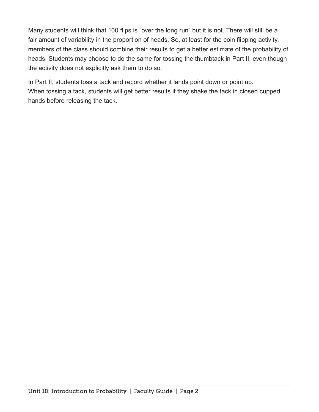Many students will think that 100 flips is "over the long run" but it is not. There will still be a fair amount of variability in the proportion of heads. So, at least for the coin flipping activity, members of the class should combine their results to get a better estimate of the probability of heads. Students may choose to do the same for tossing the thumbtack in Part II, even though the activity does not explicitly ask them to do so.

In Part II, students toss a tack and record whether it lands point down or point up. When tossing a tack, students will get better results if they shake the tack in closed cupped hands before releasing the tack.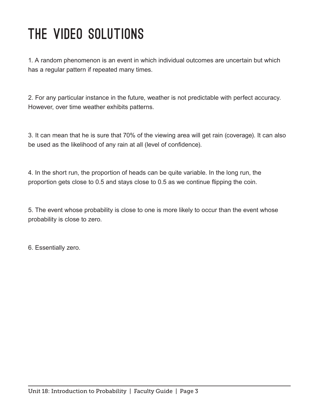## The Video Solutions

1. A random phenomenon is an event in which individual outcomes are uncertain but which has a regular pattern if repeated many times.

2. For any particular instance in the future, weather is not predictable with perfect accuracy. However, over time weather exhibits patterns.

3. It can mean that he is sure that 70% of the viewing area will get rain (coverage). It can also be used as the likelihood of any rain at all (level of confidence).

4. In the short run, the proportion of heads can be quite variable. In the long run, the proportion gets close to 0.5 and stays close to 0.5 as we continue flipping the coin.

5. The event whose probability is close to one is more likely to occur than the event whose probability is close to zero.

6. Essentially zero.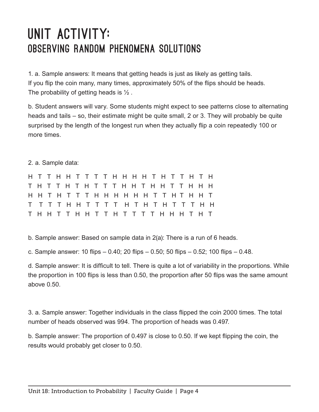#### UNIT ACTIVITY: Observing Random Phenomena Solutions

1. a. Sample answers: It means that getting heads is just as likely as getting tails. If you flip the coin many, many times, approximately 50% of the flips should be heads. The probability of getting heads is  $\frac{1}{2}$ .

b. Student answers will vary. Some students might expect to see patterns close to alternating heads and tails – so, their estimate might be quite small, 2 or 3. They will probably be quite surprised by the length of the longest run when they actually flip a coin repeatedly 100 or more times.

2. a. Sample data:

|  |  |  |  |  | H H T H T T T H H H H H H T T H T H H T |  |  |  |  |  |
|--|--|--|--|--|-----------------------------------------|--|--|--|--|--|
|  |  |  |  |  |                                         |  |  |  |  |  |
|  |  |  |  |  |                                         |  |  |  |  |  |

b. Sample answer: Based on sample data in 2(a): There is a run of 6 heads.

c. Sample answer: 10 flips – 0.40; 20 flips – 0.50; 50 flips – 0.52; 100 flips – 0.48.

d. Sample answer: It is difficult to tell. There is quite a lot of variability in the proportions. While the proportion in 100 flips is less than 0.50, the proportion after 50 flips was the same amount above 0.50.

3. a. Sample answer: Together individuals in the class flipped the coin 2000 times. The total number of heads observed was 994. The proportion of heads was 0.497.

b. Sample answer: The proportion of 0.497 is close to 0.50. If we kept flipping the coin, the results would probably get closer to 0.50.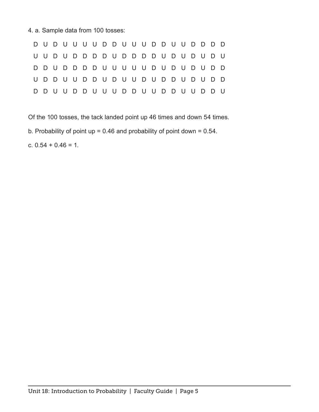4. a. Sample data from 100 tosses:

| D D U D D D D U U U U U D U D U D U D D |  |  |  |  |  |  |  |  |  |  |
|-----------------------------------------|--|--|--|--|--|--|--|--|--|--|
| U D D U U D D U D U U D U D D U D U D D |  |  |  |  |  |  |  |  |  |  |
| D D U U D D U U U D D U U D D U U D D U |  |  |  |  |  |  |  |  |  |  |

Of the 100 tosses, the tack landed point up 46 times and down 54 times.

b. Probability of point up = 0.46 and probability of point down = 0.54.

c.  $0.54 + 0.46 = 1$ .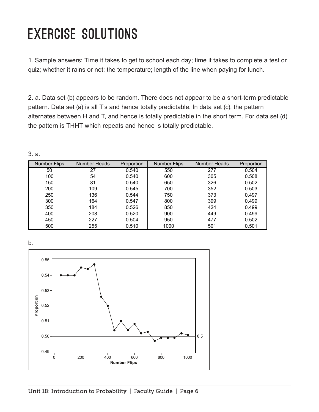#### Exercise Solutions

1. Sample answers: Time it takes to get to school each day; time it takes to complete a test or quiz; whether it rains or not; the temperature; length of the line when paying for lunch.

2. a. Data set (b) appears to be random. There does not appear to be a short-term predictable pattern. Data set (a) is all T's and hence totally predictable. In data set (c), the pattern alternates between H and T, and hence is totally predictable in the short term. For data set (d) the pattern is THHT which repeats and hence is totally predictable.

| <b>Number Flips</b> | <b>Number Heads</b> | Proportion | <b>Number Flips</b> | Number Heads | Proportion |
|---------------------|---------------------|------------|---------------------|--------------|------------|
| 50                  | 27                  | 0.540      | 550                 | 277          | 0.504      |
| 100                 | 54                  | 0.540      | 600                 | 305          | 0.508      |
| 150                 | 81                  | 0.540      | 650                 | 326          | 0.502      |
| 200                 | 109                 | 0.545      | 700                 | 352          | 0.503      |
| 250                 | 136                 | 0.544      | 750                 | 373          | 0.497      |
| 300                 | 164                 | 0.547      | 800                 | 399          | 0.499      |
| 350                 | 184                 | 0.526      | 850                 | 424          | 0.499      |
| 400                 | 208                 | 0.520      | 900                 | 449          | 0.499      |
| 450                 | 227                 | 0.504      | 950                 | 477          | 0.502      |
| 500                 | 255                 | 0.510      | 1000                | 501          | 0.501      |

3. a.

b.

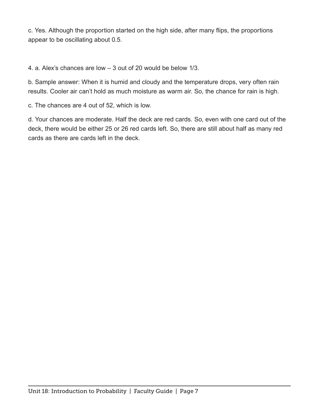c. Yes. Although the proportion started on the high side, after many flips, the proportions appear to be oscillating about 0.5.

4. a. Alex's chances are low – 3 out of 20 would be below 1/3.

b. Sample answer: When it is humid and cloudy and the temperature drops, very often rain results. Cooler air can't hold as much moisture as warm air. So, the chance for rain is high.

c. The chances are 4 out of 52, which is low.

d. Your chances are moderate. Half the deck are red cards. So, even with one card out of the deck, there would be either 25 or 26 red cards left. So, there are still about half as many red cards as there are cards left in the deck.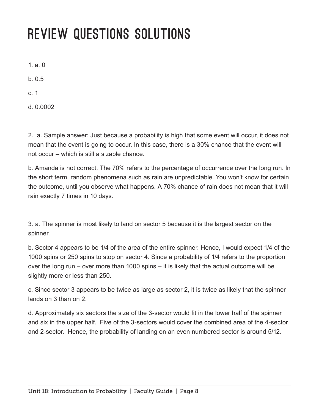### Review Questions Solutions

1. a.  $0$ 

b. 0.5

c. 1

d. 0.0002

2. a. Sample answer: Just because a probability is high that some event will occur, it does not mean that the event is going to occur. In this case, there is a 30% chance that the event will not occur – which is still a sizable chance.

b. Amanda is not correct. The 70% refers to the percentage of occurrence over the long run. In the short term, random phenomena such as rain are unpredictable. You won't know for certain the outcome, until you observe what happens. A 70% chance of rain does not mean that it will rain exactly 7 times in 10 days.

3. a. The spinner is most likely to land on sector 5 because it is the largest sector on the spinner.

b. Sector 4 appears to be 1/4 of the area of the entire spinner. Hence, I would expect 1/4 of the 1000 spins or 250 spins to stop on sector 4. Since a probability of 1/4 refers to the proportion over the long run – over more than 1000 spins – it is likely that the actual outcome will be slightly more or less than 250.

c. Since sector 3 appears to be twice as large as sector 2, it is twice as likely that the spinner lands on 3 than on 2.

d. Approximately six sectors the size of the 3-sector would fit in the lower half of the spinner and six in the upper half. Five of the 3-sectors would cover the combined area of the 4-sector and 2-sector. Hence, the probability of landing on an even numbered sector is around 5/12.